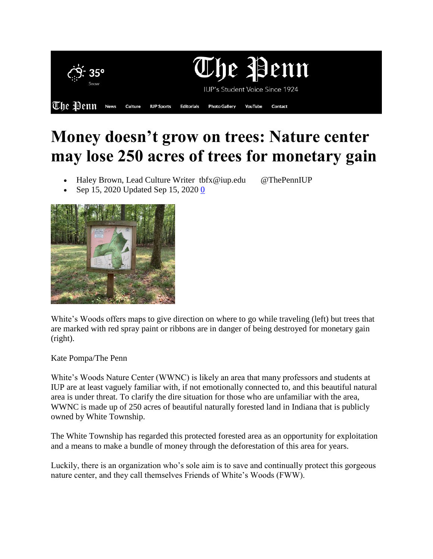

## **Money doesn't grow on trees: Nature center may lose 250 acres of trees for monetary gain**

Haley Brown, Lead Culture Writer tbfx@iup.edu @ThePennIUP

Sep 15, 2020 Updated Sep 15, 2020 0



White's Woods offers maps to give direction on where to go while traveling (left) but trees that are marked with red spray paint or ribbons are in danger of being destroyed for monetary gain (right).

Kate Pompa/The Penn

White's Woods Nature Center (WWNC) is likely an area that many professors and students at IUP are at least vaguely familiar with, if not emotionally connected to, and this beautiful natural area is under threat. To clarify the dire situation for those who are unfamiliar with the area, WWNC is made up of 250 acres of beautiful naturally forested land in Indiana that is publicly owned by White Township.

The White Township has regarded this protected forested area as an opportunity for exploitation and a means to make a bundle of money through the deforestation of this area for years.

Luckily, there is an organization who's sole aim is to save and continually protect this gorgeous nature center, and they call themselves Friends of White's Woods (FWW).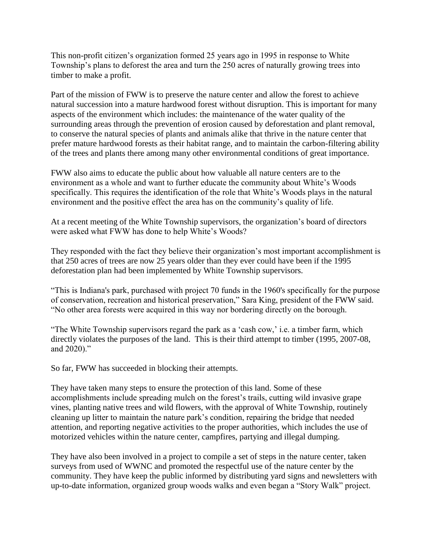This non-profit citizen's organization formed 25 years ago in 1995 in response to White Township's plans to deforest the area and turn the 250 acres of naturally growing trees into timber to make a profit.

Part of the mission of FWW is to preserve the nature center and allow the forest to achieve natural succession into a mature hardwood forest without disruption. This is important for many aspects of the environment which includes: the maintenance of the water quality of the surrounding areas through the prevention of erosion caused by deforestation and plant removal, to conserve the natural species of plants and animals alike that thrive in the nature center that prefer mature hardwood forests as their habitat range, and to maintain the carbon-filtering ability of the trees and plants there among many other environmental conditions of great importance.

FWW also aims to educate the public about how valuable all nature centers are to the environment as a whole and want to further educate the community about White's Woods specifically. This requires the identification of the role that White's Woods plays in the natural environment and the positive effect the area has on the community's quality of life.

At a recent meeting of the White Township supervisors, the organization's board of directors were asked what FWW has done to help White's Woods?

They responded with the fact they believe their organization's most important accomplishment is that 250 acres of trees are now 25 years older than they ever could have been if the 1995 deforestation plan had been implemented by White Township supervisors.

"This is Indiana's park, purchased with project 70 funds in the 1960's specifically for the purpose of conservation, recreation and historical preservation," Sara King, president of the FWW said. "No other area forests were acquired in this way nor bordering directly on the borough.

"The White Township supervisors regard the park as a 'cash cow,' i.e. a timber farm, which directly violates the purposes of the land. This is their third attempt to timber (1995, 2007-08, and 2020)."

So far, FWW has succeeded in blocking their attempts.

They have taken many steps to ensure the protection of this land. Some of these accomplishments include spreading mulch on the forest's trails, cutting wild invasive grape vines, planting native trees and wild flowers, with the approval of White Township, routinely cleaning up litter to maintain the nature park's condition, repairing the bridge that needed attention, and reporting negative activities to the proper authorities, which includes the use of motorized vehicles within the nature center, campfires, partying and illegal dumping.

They have also been involved in a project to compile a set of steps in the nature center, taken surveys from used of WWNC and promoted the respectful use of the nature center by the community. They have keep the public informed by distributing yard signs and newsletters with up-to-date information, organized group woods walks and even began a "Story Walk" project.